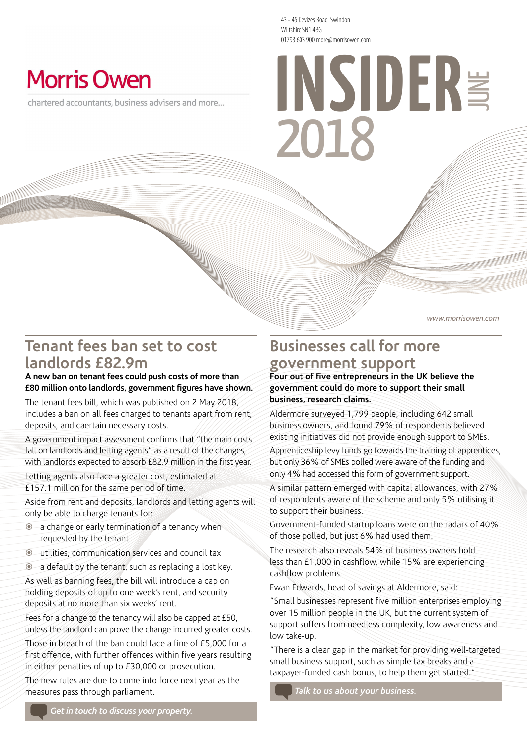43 - 45 Devizes Road Swindon Wiltshire SN1 4BG 01793 603 900 more@morrisowen.com

## **Morris Owen**

chartered accountants, business advisers and more...

# **2012** 2018 01793 603 900 more@morrisowen.com

www.morrisowen.com

## **Tenant fees ban set to cost landlords £82.9m**

#### **A new ban on tenant fees could push costs of more than £80 million onto landlords, government figures have shown.**

The tenant fees bill, which was published on 2 May 2018, includes a ban on all fees charged to tenants apart from rent, deposits, and caertain necessary costs.

A government impact assessment confirms that "the main costs fall on landlords and letting agents" as a result of the changes, with landlords expected to absorb £82.9 million in the first year.

Letting agents also face a greater cost, estimated at £157.1 million for the same period of time.

Aside from rent and deposits, landlords and letting agents will only be able to charge tenants for:

- a change or early termination of a tenancy when requested by the tenant
- utilities, communication services and council tax
- a default by the tenant, such as replacing a lost key.

As well as banning fees, the bill will introduce a cap on holding deposits of up to one week's rent, and security deposits at no more than six weeks' rent.

Fees for a change to the tenancy will also be capped at £50, unless the landlord can prove the change incurred greater costs.

Those in breach of the ban could face a fine of £5,000 for a first offence, with further offences within five years resulting in either penalties of up to £30,000 or prosecution.

The new rules are due to come into force next year as the measures pass through parliament.

#### **Businesses call for more government support**

**Four out of five entrepreneurs in the UK believe the government could do more to support their small business, research claims.** 

Aldermore surveyed 1,799 people, including 642 small business owners, and found 79% of respondents believed existing initiatives did not provide enough support to SMEs.

Apprenticeship levy funds go towards the training of apprentices, but only 36% of SMEs polled were aware of the funding and only 4% had accessed this form of government support.

A similar pattern emerged with capital allowances, with 27% of respondents aware of the scheme and only 5% utilising it to support their business.

Government-funded startup loans were on the radars of 40% of those polled, but just 6% had used them.

The research also reveals 54% of business owners hold less than £1,000 in cashflow, while 15% are experiencing cashflow problems.

Ewan Edwards, head of savings at Aldermore, said:

"Small businesses represent five million enterprises employing over 15 million people in the UK, but the current system of support suffers from needless complexity, low awareness and low take-up.

"There is a clear gap in the market for providing well-targeted small business support, such as simple tax breaks and a taxpayer-funded cash bonus, to help them get started."

*Talk to us about your business.*